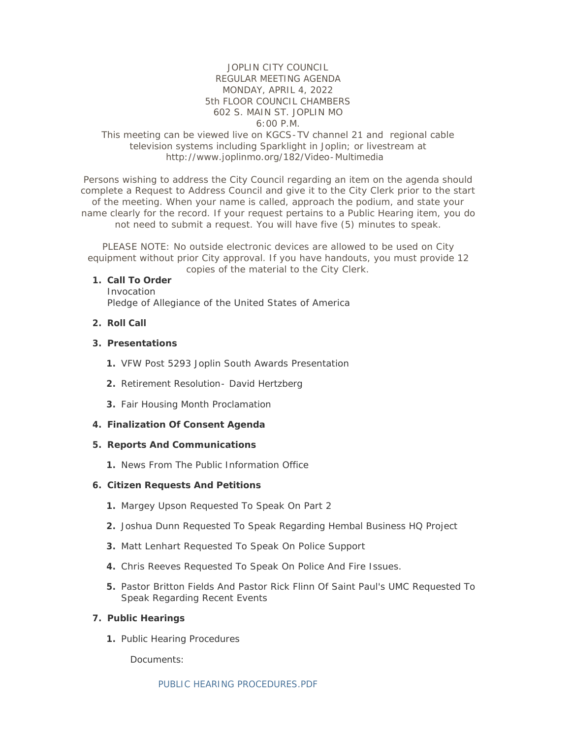## JOPLIN CITY COUNCIL REGULAR MEETING AGENDA MONDAY, APRIL 4, 2022 5th FLOOR COUNCIL CHAMBERS 602 S. MAIN ST. JOPLIN MO 6:00 P.M.

# This meeting can be viewed live on KGCS-TV channel 21 and regional cable television systems including Sparklight in Joplin; or livestream at http://www.joplinmo.org/182/Video-Multimedia

Persons wishing to address the City Council regarding an item on the agenda should complete a Request to Address Council and give it to the City Clerk prior to the start of the meeting. When your name is called, approach the podium, and state your name clearly for the record. If your request pertains to a Public Hearing item, you do not need to submit a request. You will have five (5) minutes to speak.

PLEASE NOTE: No outside electronic devices are allowed to be used on City equipment without prior City approval. If you have handouts, you must provide 12 copies of the material to the City Clerk.

#### **Call To Order 1.**

Invocation Pledge of Allegiance of the United States of America

### **Roll Call 2.**

#### **Presentations 3.**

- 1. VFW Post 5293 Joplin South Awards Presentation
- 2. Retirement Resolution David Hertzberg
- **3.** Fair Housing Month Proclamation

### **Finalization Of Consent Agenda 4.**

### **Reports And Communications 5.**

1. News From The Public Information Office

#### **Citizen Requests And Petitions 6.**

- 1. Margey Upson Requested To Speak On Part 2
- 2. Joshua Dunn Requested To Speak Regarding Hembal Business HQ Project
- Matt Lenhart Requested To Speak On Police Support **3.**
- Chris Reeves Requested To Speak On Police And Fire Issues. **4.**
- **5.** Pastor Britton Fields And Pastor Rick Flinn Of Saint Paul's UMC Requested To Speak Regarding Recent Events

#### **Public Hearings 7.**

**1. Public Hearing Procedures** 

Documents: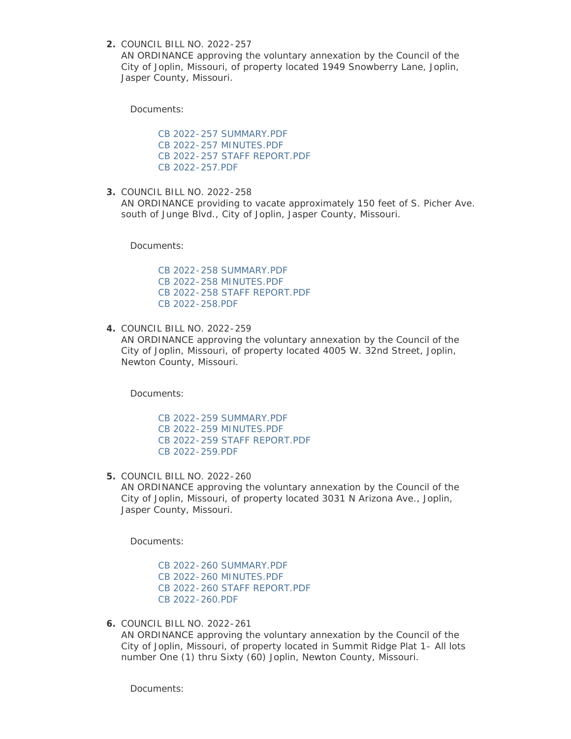COUNCIL BILL NO. 2022-257 **2.**

AN ORDINANCE approving the voluntary annexation by the Council of the City of Joplin, Missouri, of property located 1949 Snowberry Lane, Joplin, Jasper County, Missouri.

Documents:

[CB 2022-257 SUMMARY.PDF](http://www.joplinmo.org/AgendaCenter/ViewFile/Item/8429?fileID=50291) [CB 2022-257 MINUTES.PDF](http://www.joplinmo.org/AgendaCenter/ViewFile/Item/8429?fileID=50289) [CB 2022-257 STAFF REPORT.PDF](http://www.joplinmo.org/AgendaCenter/ViewFile/Item/8429?fileID=50334) [CB 2022-257.PDF](http://www.joplinmo.org/AgendaCenter/ViewFile/Item/8429?fileID=50292)

COUNCIL BILL NO. 2022-258 **3.** AN ORDINANCE providing to vacate approximately 150 feet of S. Picher Ave. south of Junge Blvd., City of Joplin, Jasper County, Missouri.

Documents:

[CB 2022-258 SUMMARY.PDF](http://www.joplinmo.org/AgendaCenter/ViewFile/Item/8430?fileID=50296) [CB 2022-258 MINUTES.PDF](http://www.joplinmo.org/AgendaCenter/ViewFile/Item/8430?fileID=50294) [CB 2022-258 STAFF REPORT.PDF](http://www.joplinmo.org/AgendaCenter/ViewFile/Item/8430?fileID=50295) [CB 2022-258.PDF](http://www.joplinmo.org/AgendaCenter/ViewFile/Item/8430?fileID=50293)

COUNCIL BILL NO. 2022-259 **4.** AN ORDINANCE approving the voluntary annexation by the Council of the City of Joplin, Missouri, of property located 4005 W. 32nd Street, Joplin, Newton County, Missouri.

Documents:

[CB 2022-259 SUMMARY.PDF](http://www.joplinmo.org/AgendaCenter/ViewFile/Item/8431?fileID=50299) [CB 2022-259 MINUTES.PDF](http://www.joplinmo.org/AgendaCenter/ViewFile/Item/8431?fileID=50297) [CB 2022-259 STAFF REPORT.PDF](http://www.joplinmo.org/AgendaCenter/ViewFile/Item/8431?fileID=50298) [CB 2022-259.PDF](http://www.joplinmo.org/AgendaCenter/ViewFile/Item/8431?fileID=50300)

COUNCIL BILL NO. 2022-260 **5.** AN ORDINANCE approving the voluntary annexation by the Council of the City of Joplin, Missouri, of property located 3031 N Arizona Ave., Joplin, Jasper County, Missouri.

Documents:

[CB 2022-260 SUMMARY.PDF](http://www.joplinmo.org/AgendaCenter/ViewFile/Item/8432?fileID=50303) [CB 2022-260 MINUTES.PDF](http://www.joplinmo.org/AgendaCenter/ViewFile/Item/8432?fileID=50301) [CB 2022-260 STAFF REPORT.PDF](http://www.joplinmo.org/AgendaCenter/ViewFile/Item/8432?fileID=50302) [CB 2022-260.PDF](http://www.joplinmo.org/AgendaCenter/ViewFile/Item/8432?fileID=50304)

COUNCIL BILL NO. 2022-261 **6.** AN ORDINANCE approving the voluntary annexation by the Council of the City of Joplin, Missouri, of property located in Summit Ridge Plat 1- All lots number One (1) thru Sixty (60) Joplin, Newton County, Missouri.

Documents: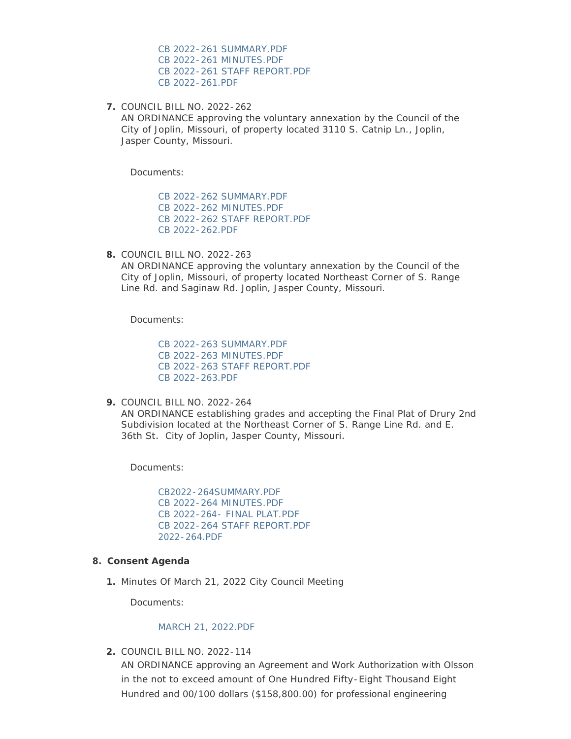[CB 2022-261 SUMMARY.PDF](http://www.joplinmo.org/AgendaCenter/ViewFile/Item/8433?fileID=50307) [CB 2022-261 MINUTES.PDF](http://www.joplinmo.org/AgendaCenter/ViewFile/Item/8433?fileID=50305) [CB 2022-261 STAFF REPORT.PDF](http://www.joplinmo.org/AgendaCenter/ViewFile/Item/8433?fileID=50306) [CB 2022-261.PDF](http://www.joplinmo.org/AgendaCenter/ViewFile/Item/8433?fileID=50308)

COUNCIL BILL NO. 2022-262 **7.**

AN ORDINANCE approving the voluntary annexation by the Council of the City of Joplin, Missouri, of property located 3110 S. Catnip Ln., Joplin, Jasper County, Missouri.

Documents:

[CB 2022-262 SUMMARY.PDF](http://www.joplinmo.org/AgendaCenter/ViewFile/Item/8434?fileID=50311) [CB 2022-262 MINUTES.PDF](http://www.joplinmo.org/AgendaCenter/ViewFile/Item/8434?fileID=50309) [CB 2022-262 STAFF REPORT.PDF](http://www.joplinmo.org/AgendaCenter/ViewFile/Item/8434?fileID=50310) [CB 2022-262.PDF](http://www.joplinmo.org/AgendaCenter/ViewFile/Item/8434?fileID=50312)

COUNCIL BILL NO. 2022-263 **8.**

AN ORDINANCE approving the voluntary annexation by the Council of the City of Joplin, Missouri, of property located Northeast Corner of S. Range Line Rd. and Saginaw Rd. Joplin, Jasper County, Missouri.

Documents:

[CB 2022-263 SUMMARY.PDF](http://www.joplinmo.org/AgendaCenter/ViewFile/Item/8435?fileID=50315) [CB 2022-263 MINUTES.PDF](http://www.joplinmo.org/AgendaCenter/ViewFile/Item/8435?fileID=50313) [CB 2022-263 STAFF REPORT.PDF](http://www.joplinmo.org/AgendaCenter/ViewFile/Item/8435?fileID=50314) [CB 2022-263.PDF](http://www.joplinmo.org/AgendaCenter/ViewFile/Item/8435?fileID=50316)

COUNCIL BILL NO. 2022-264 **9.**

AN ORDINANCE establishing grades and accepting the Final Plat of Drury 2nd Subdivision located at the Northeast Corner of S. Range Line Rd. and E. 36th St. City of Joplin, Jasper County, Missouri.

Documents:

[CB2022-264SUMMARY.PDF](http://www.joplinmo.org/AgendaCenter/ViewFile/Item/8439?fileID=50382) [CB 2022-264 MINUTES.PDF](http://www.joplinmo.org/AgendaCenter/ViewFile/Item/8439?fileID=50331) [CB 2022-264- FINAL PLAT.PDF](http://www.joplinmo.org/AgendaCenter/ViewFile/Item/8439?fileID=50330) [CB 2022-264 STAFF REPORT.PDF](http://www.joplinmo.org/AgendaCenter/ViewFile/Item/8439?fileID=50332) [2022-264.PDF](http://www.joplinmo.org/AgendaCenter/ViewFile/Item/8439?fileID=50329)

#### **Consent Agenda 8.**

1. Minutes Of March 21, 2022 City Council Meeting

Documents:

#### [MARCH 21, 2022.PDF](http://www.joplinmo.org/AgendaCenter/ViewFile/Item/8426?fileID=50279)

COUNCIL BILL NO. 2022-114 **2.**

AN ORDINANCE approving an Agreement and Work Authorization with Olsson in the not to exceed amount of One Hundred Fifty-Eight Thousand Eight Hundred and 00/100 dollars (\$158,800.00) for professional engineering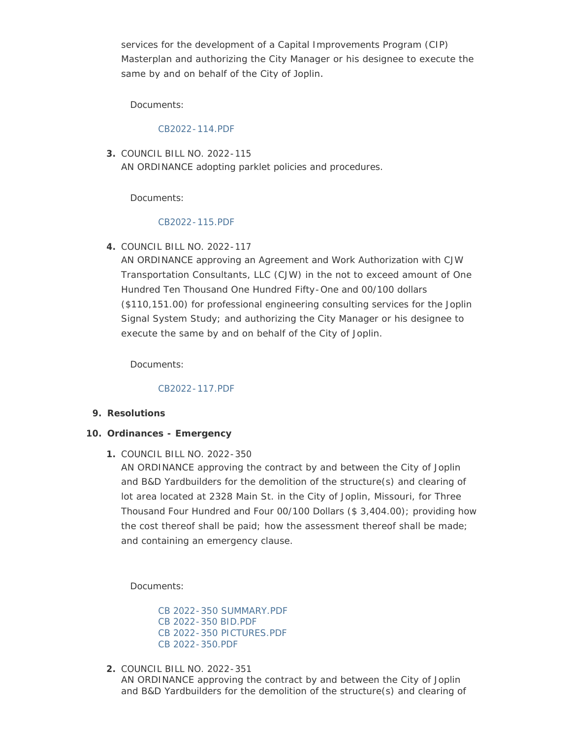services for the development of a Capital Improvements Program (CIP) Masterplan and authorizing the City Manager or his designee to execute the same by and on behalf of the City of Joplin.

Documents:

### [CB2022-114.PDF](http://www.joplinmo.org/AgendaCenter/ViewFile/Item/8415?fileID=50209)

COUNCIL BILL NO. 2022-115 **3.** AN ORDINANCE adopting parklet policies and procedures.

Documents:

## [CB2022-115.PDF](http://www.joplinmo.org/AgendaCenter/ViewFile/Item/8416?fileID=50210)

COUNCIL BILL NO. 2022-117 **4.**

AN ORDINANCE approving an Agreement and Work Authorization with CJW Transportation Consultants, LLC (CJW) in the not to exceed amount of One Hundred Ten Thousand One Hundred Fifty-One and 00/100 dollars (\$110,151.00) for professional engineering consulting services for the Joplin Signal System Study; and authorizing the City Manager or his designee to execute the same by and on behalf of the City of Joplin.

Documents:

## [CB2022-117.PDF](http://www.joplinmo.org/AgendaCenter/ViewFile/Item/8417?fileID=50211)

**Resolutions 9.**

## **Ordinances - Emergency 10.**

COUNCIL BILL NO. 2022-350 **1.**

AN ORDINANCE approving the contract by and between the City of Joplin and B&D Yardbuilders for the demolition of the structure(s) and clearing of lot area located at 2328 Main St. in the City of Joplin, Missouri, for Three Thousand Four Hundred and Four 00/100 Dollars (\$ 3,404.00); providing how the cost thereof shall be paid; how the assessment thereof shall be made; and containing an emergency clause.

Documents:

[CB 2022-350 SUMMARY.PDF](http://www.joplinmo.org/AgendaCenter/ViewFile/Item/8436?fileID=50319) [CB 2022-350 BID.PDF](http://www.joplinmo.org/AgendaCenter/ViewFile/Item/8436?fileID=50317) [CB 2022-350 PICTURES.PDF](http://www.joplinmo.org/AgendaCenter/ViewFile/Item/8436?fileID=50318) [CB 2022-350.PDF](http://www.joplinmo.org/AgendaCenter/ViewFile/Item/8436?fileID=50320)

COUNCIL BILL NO. 2022-351 **2.**

AN ORDINANCE approving the contract by and between the City of Joplin and B&D Yardbuilders for the demolition of the structure(s) and clearing of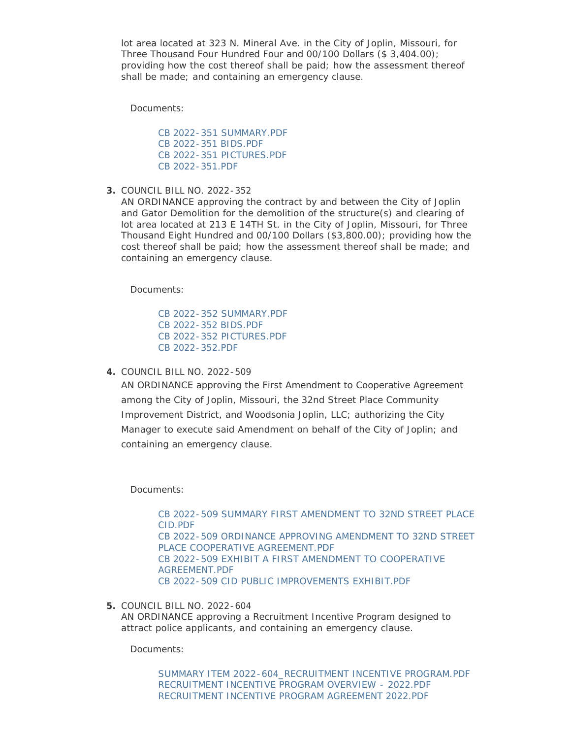lot area located at 323 N. Mineral Ave. in the City of Joplin, Missouri, for Three Thousand Four Hundred Four and 00/100 Dollars (\$ 3,404.00); providing how the cost thereof shall be paid; how the assessment thereof shall be made; and containing an emergency clause.

Documents:

[CB 2022-351 SUMMARY.PDF](http://www.joplinmo.org/AgendaCenter/ViewFile/Item/8437?fileID=50323) [CB 2022-351 BIDS.PDF](http://www.joplinmo.org/AgendaCenter/ViewFile/Item/8437?fileID=50321) [CB 2022-351 PICTURES.PDF](http://www.joplinmo.org/AgendaCenter/ViewFile/Item/8437?fileID=50322) [CB 2022-351.PDF](http://www.joplinmo.org/AgendaCenter/ViewFile/Item/8437?fileID=50324)

COUNCIL BILL NO. 2022-352 **3.**

AN ORDINANCE approving the contract by and between the City of Joplin and Gator Demolition for the demolition of the structure(s) and clearing of lot area located at 213 E 14TH St. in the City of Joplin, Missouri, for Three Thousand Eight Hundred and 00/100 Dollars (\$3,800.00); providing how the cost thereof shall be paid; how the assessment thereof shall be made; and containing an emergency clause.

Documents:

[CB 2022-352 SUMMARY.PDF](http://www.joplinmo.org/AgendaCenter/ViewFile/Item/8438?fileID=50327) [CB 2022-352 BIDS.PDF](http://www.joplinmo.org/AgendaCenter/ViewFile/Item/8438?fileID=50325) [CB 2022-352 PICTURES.PDF](http://www.joplinmo.org/AgendaCenter/ViewFile/Item/8438?fileID=50326) [CB 2022-352.PDF](http://www.joplinmo.org/AgendaCenter/ViewFile/Item/8438?fileID=50383)

COUNCIL BILL NO. 2022-509 **4.**

AN ORDINANCE approving the First Amendment to Cooperative Agreement among the City of Joplin, Missouri, the 32nd Street Place Community Improvement District, and Woodsonia Joplin, LLC; authorizing the City Manager to execute said Amendment on behalf of the City of Joplin; and containing an emergency clause.

Documents:

[CB 2022-509 SUMMARY FIRST AMENDMENT TO 32ND STREET PLACE](http://www.joplinmo.org/AgendaCenter/ViewFile/Item/8441?fileID=50359)  CID.PDF [CB 2022-509 ORDINANCE APPROVING AMENDMENT TO 32ND STREET](http://www.joplinmo.org/AgendaCenter/ViewFile/Item/8441?fileID=50358)  PLACE COOPERATIVE AGREEMENT.PDF [CB 2022-509 EXHIBIT A FIRST AMENDMENT TO COOPERATIVE](http://www.joplinmo.org/AgendaCenter/ViewFile/Item/8441?fileID=50357)  AGREEMENT.PDF [CB 2022-509 CID PUBLIC IMPROVEMENTS EXHIBIT.PDF](http://www.joplinmo.org/AgendaCenter/ViewFile/Item/8441?fileID=50356)

COUNCIL BILL NO. 2022-604 **5.**

AN ORDINANCE approving a Recruitment Incentive Program designed to attract police applicants, and containing an emergency clause.

Documents:

[SUMMARY ITEM 2022-604\\_RECRUITMENT INCENTIVE PROGRAM.PDF](http://www.joplinmo.org/AgendaCenter/ViewFile/Item/8428?fileID=50288) [RECRUITMENT INCENTIVE PROGRAM OVERVIEW - 2022.PDF](http://www.joplinmo.org/AgendaCenter/ViewFile/Item/8428?fileID=50284) [RECRUITMENT INCENTIVE PROGRAM AGREEMENT 2022.PDF](http://www.joplinmo.org/AgendaCenter/ViewFile/Item/8428?fileID=50286)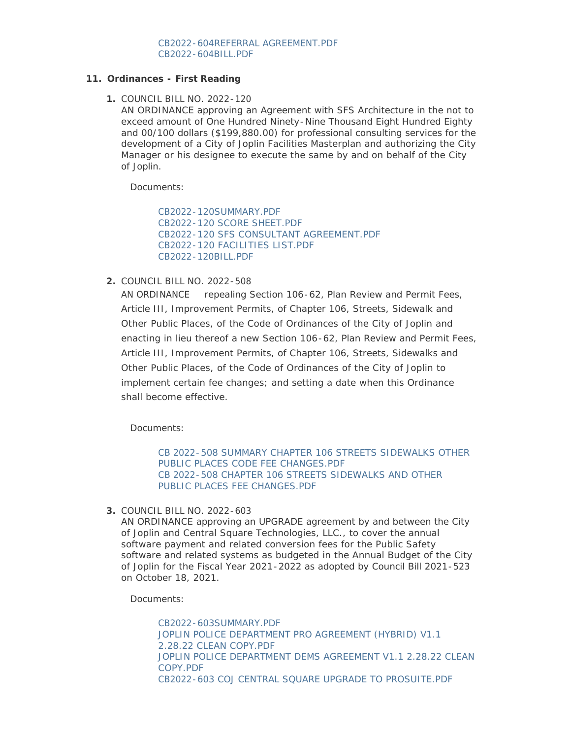### **Ordinances - First Reading 11.**

COUNCIL BILL NO. 2022-120 **1.**

AN ORDINANCE approving an Agreement with SFS Architecture in the not to exceed amount of One Hundred Ninety-Nine Thousand Eight Hundred Eighty and 00/100 dollars (\$199,880.00) for professional consulting services for the development of a City of Joplin Facilities Masterplan and authorizing the City Manager or his designee to execute the same by and on behalf of the City of Joplin.

Documents:

[CB2022-120SUMMARY.PDF](http://www.joplinmo.org/AgendaCenter/ViewFile/Item/8440?fileID=50384) [CB2022-120 SCORE SHEET.PDF](http://www.joplinmo.org/AgendaCenter/ViewFile/Item/8440?fileID=50351) [CB2022-120 SFS CONSULTANT AGREEMENT.PDF](http://www.joplinmo.org/AgendaCenter/ViewFile/Item/8440?fileID=50352) [CB2022-120 FACILITIES LIST.PDF](http://www.joplinmo.org/AgendaCenter/ViewFile/Item/8440?fileID=50355) [CB2022-120BILL.PDF](http://www.joplinmo.org/AgendaCenter/ViewFile/Item/8440?fileID=50385)

COUNCIL BILL NO. 2022-508 **2.**

AN ORDINANCE repealing Section 106-62, Plan Review and Permit Fees, Article III, Improvement Permits, of Chapter 106, Streets, Sidewalk and Other Public Places, of the Code of Ordinances of the City of Joplin and enacting in lieu thereof a new Section 106-62, Plan Review and Permit Fees, Article III, Improvement Permits, of Chapter 106, Streets, Sidewalks and Other Public Places, of the Code of Ordinances of the City of Joplin to implement certain fee changes; and setting a date when this Ordinance shall become effective.

Documents:

[CB 2022-508 SUMMARY CHAPTER 106 STREETS SIDEWALKS OTHER](http://www.joplinmo.org/AgendaCenter/ViewFile/Item/8427?fileID=50281)  PUBLIC PLACES CODE FEE CHANGES.PDF [CB 2022-508 CHAPTER 106 STREETS SIDEWALKS AND OTHER](http://www.joplinmo.org/AgendaCenter/ViewFile/Item/8427?fileID=50282)  PUBLIC PLACES FEE CHANGES PDF

COUNCIL BILL NO. 2022-603 **3.**

AN ORDINANCE approving an UPGRADE agreement by and between the City of Joplin and Central Square Technologies, LLC., to cover the annual software payment and related conversion fees for the Public Safety software and related systems as budgeted in the Annual Budget of the City of Joplin for the Fiscal Year 2021-2022 as adopted by Council Bill 2021-523 on October 18, 2021.

Documents:

[CB2022-603SUMMARY.PDF](http://www.joplinmo.org/AgendaCenter/ViewFile/Item/8366?fileID=50283) [JOPLIN POLICE DEPARTMENT PRO AGREEMENT \(HYBRID\) V1.1](http://www.joplinmo.org/AgendaCenter/ViewFile/Item/8366?fileID=49579)  2.28.22 CLEAN COPY.PDF [JOPLIN POLICE DEPARTMENT DEMS AGREEMENT V1.1 2.28.22 CLEAN](http://www.joplinmo.org/AgendaCenter/ViewFile/Item/8366?fileID=49578)  COPY.PDF [CB2022-603 COJ CENTRAL SQUARE UPGRADE TO PROSUITE.PDF](http://www.joplinmo.org/AgendaCenter/ViewFile/Item/8366?fileID=49638)